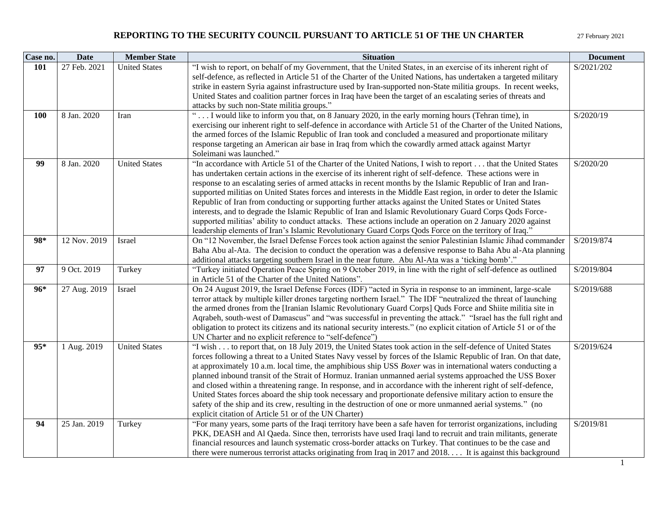| Case no. | <b>Date</b>  | <b>Member State</b>  | <b>Situation</b>                                                                                                                                                                                                  | <b>Document</b> |
|----------|--------------|----------------------|-------------------------------------------------------------------------------------------------------------------------------------------------------------------------------------------------------------------|-----------------|
| 101      | 27 Feb. 2021 | <b>United States</b> | "I wish to report, on behalf of my Government, that the United States, in an exercise of its inherent right of                                                                                                    | S/2021/202      |
|          |              |                      | self-defence, as reflected in Article 51 of the Charter of the United Nations, has undertaken a targeted military                                                                                                 |                 |
|          |              |                      | strike in eastern Syria against infrastructure used by Iran-supported non-State militia groups. In recent weeks,                                                                                                  |                 |
|          |              |                      | United States and coalition partner forces in Iraq have been the target of an escalating series of threats and                                                                                                    |                 |
|          |              |                      | attacks by such non-State militia groups."                                                                                                                                                                        |                 |
| 100      | 8 Jan. 2020  | Iran                 | I would like to inform you that, on 8 January 2020, in the early morning hours (Tehran time), in                                                                                                                  | S/2020/19       |
|          |              |                      | exercising our inherent right to self-defence in accordance with Article 51 of the Charter of the United Nations,                                                                                                 |                 |
|          |              |                      | the armed forces of the Islamic Republic of Iran took and concluded a measured and proportionate military                                                                                                         |                 |
|          |              |                      | response targeting an American air base in Iraq from which the cowardly armed attack against Martyr                                                                                                               |                 |
|          |              |                      | Soleimani was launched."                                                                                                                                                                                          |                 |
| 99       | 8 Jan. 2020  | <b>United States</b> | "In accordance with Article 51 of the Charter of the United Nations, I wish to report that the United States                                                                                                      | S/2020/20       |
|          |              |                      | has undertaken certain actions in the exercise of its inherent right of self-defence. These actions were in                                                                                                       |                 |
|          |              |                      | response to an escalating series of armed attacks in recent months by the Islamic Republic of Iran and Iran-                                                                                                      |                 |
|          |              |                      | supported militias on United States forces and interests in the Middle East region, in order to deter the Islamic                                                                                                 |                 |
|          |              |                      | Republic of Iran from conducting or supporting further attacks against the United States or United States                                                                                                         |                 |
|          |              |                      | interests, and to degrade the Islamic Republic of Iran and Islamic Revolutionary Guard Corps Qods Force-                                                                                                          |                 |
|          |              |                      | supported militias' ability to conduct attacks. These actions include an operation on 2 January 2020 against                                                                                                      |                 |
| 98*      |              |                      | leadership elements of Iran's Islamic Revolutionary Guard Corps Qods Force on the territory of Iraq."                                                                                                             |                 |
|          | 12 Nov. 2019 | Israel               | On "12 November, the Israel Defense Forces took action against the senior Palestinian Islamic Jihad commander                                                                                                     | S/2019/874      |
|          |              |                      | Baha Abu al-Ata. The decision to conduct the operation was a defensive response to Baha Abu al-Ata planning<br>additional attacks targeting southern Israel in the near future. Abu Al-Ata was a 'ticking bomb'." |                 |
| 97       | 9 Oct. 2019  | Turkey               | "Turkey initiated Operation Peace Spring on 9 October 2019, in line with the right of self-defence as outlined                                                                                                    | S/2019/804      |
|          |              |                      | in Article 51 of the Charter of the United Nations".                                                                                                                                                              |                 |
| $96*$    | 27 Aug. 2019 | Israel               | On 24 August 2019, the Israel Defense Forces (IDF) "acted in Syria in response to an imminent, large-scale                                                                                                        | S/2019/688      |
|          |              |                      | terror attack by multiple killer drones targeting northern Israel." The IDF "neutralized the threat of launching                                                                                                  |                 |
|          |              |                      | the armed drones from the [Iranian Islamic Revolutionary Guard Corps] Quds Force and Shiite militia site in                                                                                                       |                 |
|          |              |                      | Aqrabeh, south-west of Damascus" and "was successful in preventing the attack." "Israel has the full right and                                                                                                    |                 |
|          |              |                      | obligation to protect its citizens and its national security interests." (no explicit citation of Article 51 or of the                                                                                            |                 |
|          |              |                      | UN Charter and no explicit reference to "self-defence")                                                                                                                                                           |                 |
| $95*$    | 1 Aug. 2019  | <b>United States</b> | "I wish to report that, on 18 July 2019, the United States took action in the self-defence of United States                                                                                                       | S/2019/624      |
|          |              |                      | forces following a threat to a United States Navy vessel by forces of the Islamic Republic of Iran. On that date,                                                                                                 |                 |
|          |              |                      | at approximately 10 a.m. local time, the amphibious ship USS <i>Boxer</i> was in international waters conducting a                                                                                                |                 |
|          |              |                      | planned inbound transit of the Strait of Hormuz. Iranian unmanned aerial systems approached the USS Boxer                                                                                                         |                 |
|          |              |                      | and closed within a threatening range. In response, and in accordance with the inherent right of self-defence,                                                                                                    |                 |
|          |              |                      | United States forces aboard the ship took necessary and proportionate defensive military action to ensure the                                                                                                     |                 |
|          |              |                      | safety of the ship and its crew, resulting in the destruction of one or more unmanned aerial systems." (no                                                                                                        |                 |
|          |              |                      | explicit citation of Article 51 or of the UN Charter)                                                                                                                                                             |                 |
| 94       | 25 Jan. 2019 | Turkey               | "For many years, some parts of the Iraqi territory have been a safe haven for terrorist organizations, including                                                                                                  | S/2019/81       |
|          |              |                      | PKK, DEASH and Al Qaeda. Since then, terrorists have used Iraqi land to recruit and train militants, generate                                                                                                     |                 |
|          |              |                      | financial resources and launch systematic cross-border attacks on Turkey. That continues to be the case and                                                                                                       |                 |
|          |              |                      | there were numerous terrorist attacks originating from Iraq in 2017 and 2018 It is against this background                                                                                                        |                 |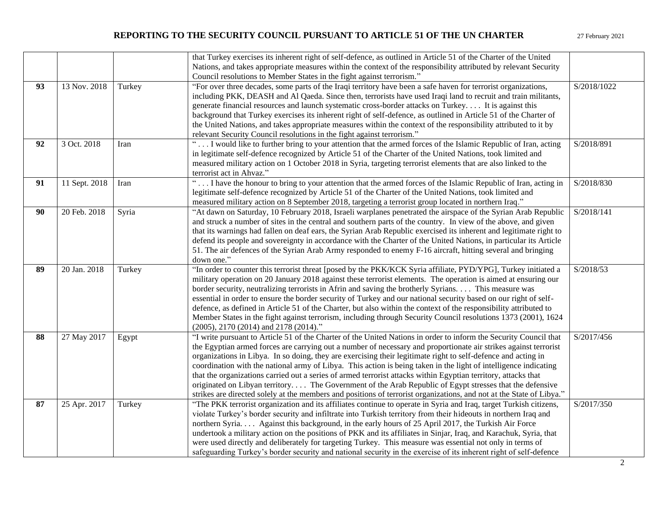|    |               |        | that Turkey exercises its inherent right of self-defence, as outlined in Article 51 of the Charter of the United                                                                                                                                                                                                                                                                                                                                                                                                                                                                                                                                                                                                                                                                                                                |             |
|----|---------------|--------|---------------------------------------------------------------------------------------------------------------------------------------------------------------------------------------------------------------------------------------------------------------------------------------------------------------------------------------------------------------------------------------------------------------------------------------------------------------------------------------------------------------------------------------------------------------------------------------------------------------------------------------------------------------------------------------------------------------------------------------------------------------------------------------------------------------------------------|-------------|
|    |               |        | Nations, and takes appropriate measures within the context of the responsibility attributed by relevant Security                                                                                                                                                                                                                                                                                                                                                                                                                                                                                                                                                                                                                                                                                                                |             |
|    |               |        | Council resolutions to Member States in the fight against terrorism."                                                                                                                                                                                                                                                                                                                                                                                                                                                                                                                                                                                                                                                                                                                                                           |             |
| 93 | 13 Nov. 2018  | Turkey | "For over three decades, some parts of the Iraqi territory have been a safe haven for terrorist organizations,<br>including PKK, DEASH and Al Qaeda. Since then, terrorists have used Iraqi land to recruit and train militants,<br>generate financial resources and launch systematic cross-border attacks on Turkey It is against this<br>background that Turkey exercises its inherent right of self-defence, as outlined in Article 51 of the Charter of<br>the United Nations, and takes appropriate measures within the context of the responsibility attributed to it by<br>relevant Security Council resolutions in the fight against terrorism."                                                                                                                                                                       | S/2018/1022 |
| 92 | 3 Oct. 2018   | Iran   | " I would like to further bring to your attention that the armed forces of the Islamic Republic of Iran, acting<br>in legitimate self-defence recognized by Article 51 of the Charter of the United Nations, took limited and<br>measured military action on 1 October 2018 in Syria, targeting terrorist elements that are also linked to the<br>terrorist act in Ahvaz."                                                                                                                                                                                                                                                                                                                                                                                                                                                      | S/2018/891  |
| 91 | 11 Sept. 2018 | Iran   | " I have the honour to bring to your attention that the armed forces of the Islamic Republic of Iran, acting in<br>legitimate self-defence recognized by Article 51 of the Charter of the United Nations, took limited and<br>measured military action on 8 September 2018, targeting a terrorist group located in northern Iraq."                                                                                                                                                                                                                                                                                                                                                                                                                                                                                              | S/2018/830  |
| 90 | 20 Feb. 2018  | Syria  | "At dawn on Saturday, 10 February 2018, Israeli warplanes penetrated the airspace of the Syrian Arab Republic<br>and struck a number of sites in the central and southern parts of the country. In view of the above, and given<br>that its warnings had fallen on deaf ears, the Syrian Arab Republic exercised its inherent and legitimate right to<br>defend its people and sovereignty in accordance with the Charter of the United Nations, in particular its Article<br>51. The air defences of the Syrian Arab Army responded to enemy F-16 aircraft, hitting several and bringing<br>down one."                                                                                                                                                                                                                         | S/2018/141  |
| 89 | 20 Jan. 2018  | Turkey | "In order to counter this terrorist threat [posed by the PKK/KCK Syria affiliate, PYD/YPG], Turkey initiated a<br>military operation on 20 January 2018 against these terrorist elements. The operation is aimed at ensuring our<br>border security, neutralizing terrorists in Afrin and saving the brotherly Syrians. This measure was<br>essential in order to ensure the border security of Turkey and our national security based on our right of self-<br>defence, as defined in Article 51 of the Charter, but also within the context of the responsibility attributed to<br>Member States in the fight against terrorism, including through Security Council resolutions 1373 (2001), 1624<br>(2005), 2170 (2014) and 2178 (2014)."                                                                                    | S/2018/53   |
| 88 | 27 May 2017   | Egypt  | "I write pursuant to Article 51 of the Charter of the United Nations in order to inform the Security Council that<br>the Egyptian armed forces are carrying out a number of necessary and proportionate air strikes against terrorist<br>organizations in Libya. In so doing, they are exercising their legitimate right to self-defence and acting in<br>coordination with the national army of Libya. This action is being taken in the light of intelligence indicating<br>that the organizations carried out a series of armed terrorist attacks within Egyptian territory, attacks that<br>originated on Libyan territory The Government of the Arab Republic of Egypt stresses that the defensive<br>strikes are directed solely at the members and positions of terrorist organizations, and not at the State of Libya." | S/2017/456  |
| 87 | 25 Apr. 2017  | Turkey | "The PKK terrorist organization and its affiliates continue to operate in Syria and Iraq, target Turkish citizens,<br>violate Turkey's border security and infiltrate into Turkish territory from their hideouts in northern Iraq and<br>northern Syria Against this background, in the early hours of 25 April 2017, the Turkish Air Force<br>undertook a military action on the positions of PKK and its affiliates in Sinjar, Iraq, and Karachuk, Syria, that<br>were used directly and deliberately for targeting Turkey. This measure was essential not only in terms of<br>safeguarding Turkey's border security and national security in the exercise of its inherent right of self-defence                                                                                                                              | S/2017/350  |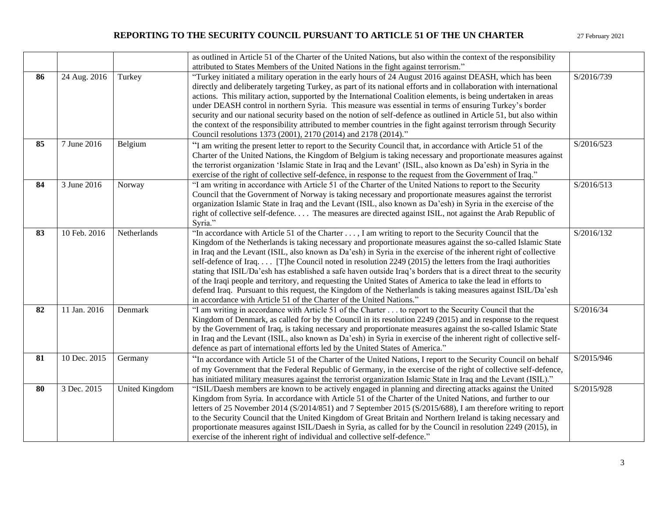|    |              |                       | as outlined in Article 51 of the Charter of the United Nations, but also within the context of the responsibility                                                                                                                                                                                                                                                                                                                                                                                                                                                                                                                                                                                                                                                                                                                                                                          |            |
|----|--------------|-----------------------|--------------------------------------------------------------------------------------------------------------------------------------------------------------------------------------------------------------------------------------------------------------------------------------------------------------------------------------------------------------------------------------------------------------------------------------------------------------------------------------------------------------------------------------------------------------------------------------------------------------------------------------------------------------------------------------------------------------------------------------------------------------------------------------------------------------------------------------------------------------------------------------------|------------|
|    |              |                       | attributed to States Members of the United Nations in the fight against terrorism."                                                                                                                                                                                                                                                                                                                                                                                                                                                                                                                                                                                                                                                                                                                                                                                                        |            |
| 86 | 24 Aug. 2016 | Turkey                | "Turkey initiated a military operation in the early hours of 24 August 2016 against DEASH, which has been<br>directly and deliberately targeting Turkey, as part of its national efforts and in collaboration with international<br>actions. This military action, supported by the International Coalition elements, is being undertaken in areas<br>under DEASH control in northern Syria. This measure was essential in terms of ensuring Turkey's border<br>security and our national security based on the notion of self-defence as outlined in Article 51, but also within<br>the context of the responsibility attributed to member countries in the fight against terrorism through Security<br>Council resolutions 1373 (2001), 2170 (2014) and 2178 (2014)."                                                                                                                    | S/2016/739 |
| 85 | 7 June 2016  | Belgium               | "I am writing the present letter to report to the Security Council that, in accordance with Article 51 of the<br>Charter of the United Nations, the Kingdom of Belgium is taking necessary and proportionate measures against<br>the terrorist organization 'Islamic State in Iraq and the Levant' (ISIL, also known as Da'esh) in Syria in the<br>exercise of the right of collective self-defence, in response to the request from the Government of Iraq."                                                                                                                                                                                                                                                                                                                                                                                                                              | S/2016/523 |
| 84 | 3 June 2016  | Norway                | "I am writing in accordance with Article 51 of the Charter of the United Nations to report to the Security<br>Council that the Government of Norway is taking necessary and proportionate measures against the terrorist<br>organization Islamic State in Iraq and the Levant (ISIL, also known as Da'esh) in Syria in the exercise of the<br>right of collective self-defence The measures are directed against ISIL, not against the Arab Republic of<br>Syria."                                                                                                                                                                                                                                                                                                                                                                                                                         | S/2016/513 |
| 83 | 10 Feb. 2016 | Netherlands           | "In accordance with Article 51 of the Charter , I am writing to report to the Security Council that the<br>Kingdom of the Netherlands is taking necessary and proportionate measures against the so-called Islamic State<br>in Iraq and the Levant (ISIL, also known as Da'esh) in Syria in the exercise of the inherent right of collective<br>self-defence of Iraq [T]he Council noted in resolution 2249 (2015) the letters from the Iraqi authorities<br>stating that ISIL/Da'esh has established a safe haven outside Iraq's borders that is a direct threat to the security<br>of the Iraqi people and territory, and requesting the United States of America to take the lead in efforts to<br>defend Iraq. Pursuant to this request, the Kingdom of the Netherlands is taking measures against ISIL/Da'esh<br>in accordance with Article 51 of the Charter of the United Nations." | S/2016/132 |
| 82 | 11 Jan. 2016 | Denmark               | "I am writing in accordance with Article 51 of the Charter to report to the Security Council that the<br>Kingdom of Denmark, as called for by the Council in its resolution 2249 (2015) and in response to the request<br>by the Government of Iraq, is taking necessary and proportionate measures against the so-called Islamic State<br>in Iraq and the Levant (ISIL, also known as Da'esh) in Syria in exercise of the inherent right of collective self-<br>defence as part of international efforts led by the United States of America."                                                                                                                                                                                                                                                                                                                                            | S/2016/34  |
| 81 | 10 Dec. 2015 | Germany               | "In accordance with Article 51 of the Charter of the United Nations, I report to the Security Council on behalf<br>of my Government that the Federal Republic of Germany, in the exercise of the right of collective self-defence,<br>has initiated military measures against the terrorist organization Islamic State in Iraq and the Levant (ISIL)."                                                                                                                                                                                                                                                                                                                                                                                                                                                                                                                                     | S/2015/946 |
| 80 | 3 Dec. 2015  | <b>United Kingdom</b> | "ISIL/Daesh members are known to be actively engaged in planning and directing attacks against the United<br>Kingdom from Syria. In accordance with Article 51 of the Charter of the United Nations, and further to our<br>letters of 25 November 2014 (S/2014/851) and 7 September 2015 (S/2015/688), I am therefore writing to report<br>to the Security Council that the United Kingdom of Great Britain and Northern Ireland is taking necessary and<br>proportionate measures against ISIL/Daesh in Syria, as called for by the Council in resolution 2249 (2015), in<br>exercise of the inherent right of individual and collective self-defence."                                                                                                                                                                                                                                   | S/2015/928 |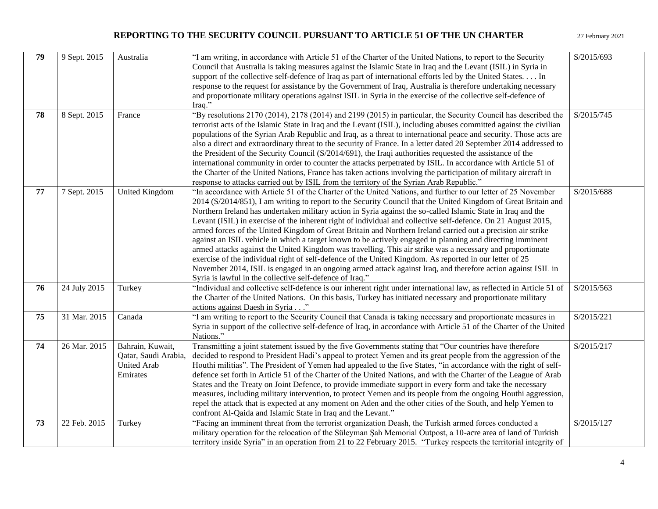| 79 | 9 Sept. 2015 | Australia                                                                  | "I am writing, in accordance with Article 51 of the Charter of the United Nations, to report to the Security<br>Council that Australia is taking measures against the Islamic State in Iraq and the Levant (ISIL) in Syria in<br>support of the collective self-defence of Iraq as part of international efforts led by the United States In<br>response to the request for assistance by the Government of Iraq, Australia is therefore undertaking necessary<br>and proportionate military operations against ISIL in Syria in the exercise of the collective self-defence of<br>Iraq."                                                                                                                                                                                                                                                                                                                                                                                                                                                                                                         | S/2015/693 |
|----|--------------|----------------------------------------------------------------------------|---------------------------------------------------------------------------------------------------------------------------------------------------------------------------------------------------------------------------------------------------------------------------------------------------------------------------------------------------------------------------------------------------------------------------------------------------------------------------------------------------------------------------------------------------------------------------------------------------------------------------------------------------------------------------------------------------------------------------------------------------------------------------------------------------------------------------------------------------------------------------------------------------------------------------------------------------------------------------------------------------------------------------------------------------------------------------------------------------|------------|
| 78 | 8 Sept. 2015 | France                                                                     | "By resolutions $2170(2014)$ , $2178(2014)$ and $2199(2015)$ in particular, the Security Council has described the<br>terrorist acts of the Islamic State in Iraq and the Levant (ISIL), including abuses committed against the civilian<br>populations of the Syrian Arab Republic and Iraq, as a threat to international peace and security. Those acts are<br>also a direct and extraordinary threat to the security of France. In a letter dated 20 September 2014 addressed to<br>the President of the Security Council $(S/2014/691)$ , the Iraqi authorities requested the assistance of the<br>international community in order to counter the attacks perpetrated by ISIL. In accordance with Article 51 of<br>the Charter of the United Nations, France has taken actions involving the participation of military aircraft in<br>response to attacks carried out by ISIL from the territory of the Syrian Arab Republic."                                                                                                                                                               | S/2015/745 |
| 77 | 7 Sept. 2015 | United Kingdom                                                             | "In accordance with Article 51 of the Charter of the United Nations, and further to our letter of 25 November<br>2014 (S/2014/851), I am writing to report to the Security Council that the United Kingdom of Great Britain and<br>Northern Ireland has undertaken military action in Syria against the so-called Islamic State in Iraq and the<br>Levant (ISIL) in exercise of the inherent right of individual and collective self-defence. On 21 August 2015,<br>armed forces of the United Kingdom of Great Britain and Northern Ireland carried out a precision air strike<br>against an ISIL vehicle in which a target known to be actively engaged in planning and directing imminent<br>armed attacks against the United Kingdom was travelling. This air strike was a necessary and proportionate<br>exercise of the individual right of self-defence of the United Kingdom. As reported in our letter of 25<br>November 2014, ISIL is engaged in an ongoing armed attack against Iraq, and therefore action against ISIL in<br>Syria is lawful in the collective self-defence of Iraq." | S/2015/688 |
| 76 | 24 July 2015 | Turkey                                                                     | "Individual and collective self-defence is our inherent right under international law, as reflected in Article 51 of<br>the Charter of the United Nations. On this basis, Turkey has initiated necessary and proportionate military<br>actions against Daesh in Syria"                                                                                                                                                                                                                                                                                                                                                                                                                                                                                                                                                                                                                                                                                                                                                                                                                            | S/2015/563 |
| 75 | 31 Mar. 2015 | Canada                                                                     | "I am writing to report to the Security Council that Canada is taking necessary and proportionate measures in<br>Syria in support of the collective self-defence of Iraq, in accordance with Article 51 of the Charter of the United<br>Nations."                                                                                                                                                                                                                                                                                                                                                                                                                                                                                                                                                                                                                                                                                                                                                                                                                                                 | S/2015/221 |
| 74 | 26 Mar. 2015 | Bahrain, Kuwait,<br>Qatar, Saudi Arabia,<br><b>United Arab</b><br>Emirates | Transmitting a joint statement issued by the five Governments stating that "Our countries have therefore<br>decided to respond to President Hadi's appeal to protect Yemen and its great people from the aggression of the<br>Houthi militias". The President of Yemen had appealed to the five States, "in accordance with the right of self-<br>defence set forth in Article 51 of the Charter of the United Nations, and with the Charter of the League of Arab<br>States and the Treaty on Joint Defence, to provide immediate support in every form and take the necessary<br>measures, including military intervention, to protect Yemen and its people from the ongoing Houthi aggression,<br>repel the attack that is expected at any moment on Aden and the other cities of the South, and help Yemen to<br>confront Al-Qaida and Islamic State in Iraq and the Levant."                                                                                                                                                                                                                 | S/2015/217 |
| 73 | 22 Feb. 2015 | Turkey                                                                     | "Facing an imminent threat from the terrorist organization Deash, the Turkish armed forces conducted a<br>military operation for the relocation of the Süleyman Şah Memorial Outpost, a 10-acre area of land of Turkish<br>territory inside Syria" in an operation from 21 to 22 February 2015. "Turkey respects the territorial integrity of                                                                                                                                                                                                                                                                                                                                                                                                                                                                                                                                                                                                                                                                                                                                                     | S/2015/127 |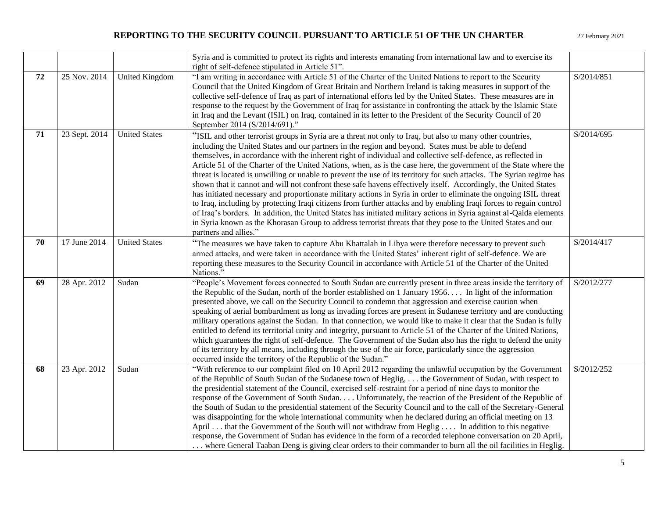|    |               |                       | Syria and is committed to protect its rights and interests emanating from international law and to exercise its<br>right of self-defence stipulated in Article 51".                                                                                                                                                                                                                                                                                                                                                                                                                                                                                                                                                                                                                                                                                                                                                                                                                                                                                                                                                                                                                                             |            |
|----|---------------|-----------------------|-----------------------------------------------------------------------------------------------------------------------------------------------------------------------------------------------------------------------------------------------------------------------------------------------------------------------------------------------------------------------------------------------------------------------------------------------------------------------------------------------------------------------------------------------------------------------------------------------------------------------------------------------------------------------------------------------------------------------------------------------------------------------------------------------------------------------------------------------------------------------------------------------------------------------------------------------------------------------------------------------------------------------------------------------------------------------------------------------------------------------------------------------------------------------------------------------------------------|------------|
| 72 | 25 Nov. 2014  | <b>United Kingdom</b> | "I am writing in accordance with Article 51 of the Charter of the United Nations to report to the Security<br>Council that the United Kingdom of Great Britain and Northern Ireland is taking measures in support of the<br>collective self-defence of Iraq as part of international efforts led by the United States. These measures are in<br>response to the request by the Government of Iraq for assistance in confronting the attack by the Islamic State<br>in Iraq and the Levant (ISIL) on Iraq, contained in its letter to the President of the Security Council of 20<br>September 2014 (S/2014/691)."                                                                                                                                                                                                                                                                                                                                                                                                                                                                                                                                                                                               | S/2014/851 |
| 71 | 23 Sept. 2014 | <b>United States</b>  | "ISIL and other terrorist groups in Syria are a threat not only to Iraq, but also to many other countries,<br>including the United States and our partners in the region and beyond. States must be able to defend<br>themselves, in accordance with the inherent right of individual and collective self-defence, as reflected in<br>Article 51 of the Charter of the United Nations, when, as is the case here, the government of the State where the<br>threat is located is unwilling or unable to prevent the use of its territory for such attacks. The Syrian regime has<br>shown that it cannot and will not confront these safe havens effectively itself. Accordingly, the United States<br>has initiated necessary and proportionate military actions in Syria in order to eliminate the ongoing ISIL threat<br>to Iraq, including by protecting Iraqi citizens from further attacks and by enabling Iraqi forces to regain control<br>of Iraq's borders. In addition, the United States has initiated military actions in Syria against al-Qaida elements<br>in Syria known as the Khorasan Group to address terrorist threats that they pose to the United States and our<br>partners and allies." | S/2014/695 |
| 70 | 17 June 2014  | <b>United States</b>  | "The measures we have taken to capture Abu Khattalah in Libya were therefore necessary to prevent such<br>armed attacks, and were taken in accordance with the United States' inherent right of self-defence. We are<br>reporting these measures to the Security Council in accordance with Article 51 of the Charter of the United<br>Nations."                                                                                                                                                                                                                                                                                                                                                                                                                                                                                                                                                                                                                                                                                                                                                                                                                                                                | S/2014/417 |
| 69 | 28 Apr. 2012  | Sudan                 | "People's Movement forces connected to South Sudan are currently present in three areas inside the territory of<br>the Republic of the Sudan, north of the border established on 1 January 1956 In light of the information<br>presented above, we call on the Security Council to condemn that aggression and exercise caution when<br>speaking of aerial bombardment as long as invading forces are present in Sudanese territory and are conducting<br>military operations against the Sudan. In that connection, we would like to make it clear that the Sudan is fully<br>entitled to defend its territorial unity and integrity, pursuant to Article 51 of the Charter of the United Nations,<br>which guarantees the right of self-defence. The Government of the Sudan also has the right to defend the unity<br>of its territory by all means, including through the use of the air force, particularly since the aggression<br>occurred inside the territory of the Republic of the Sudan."                                                                                                                                                                                                           | S/2012/277 |
| 68 | 23 Apr. 2012  | Sudan                 | "With reference to our complaint filed on 10 April 2012 regarding the unlawful occupation by the Government<br>of the Republic of South Sudan of the Sudanese town of Heglig,  the Government of Sudan, with respect to<br>the presidential statement of the Council, exercised self-restraint for a period of nine days to monitor the<br>response of the Government of South Sudan. Unfortunately, the reaction of the President of the Republic of<br>the South of Sudan to the presidential statement of the Security Council and to the call of the Secretary-General<br>was disappointing for the whole international community when he declared during an official meeting on 13<br>April  that the Government of the South will not withdraw from Heglig  . In addition to this negative<br>response, the Government of Sudan has evidence in the form of a recorded telephone conversation on 20 April,<br>where General Taaban Deng is giving clear orders to their commander to burn all the oil facilities in Heglig.                                                                                                                                                                               | S/2012/252 |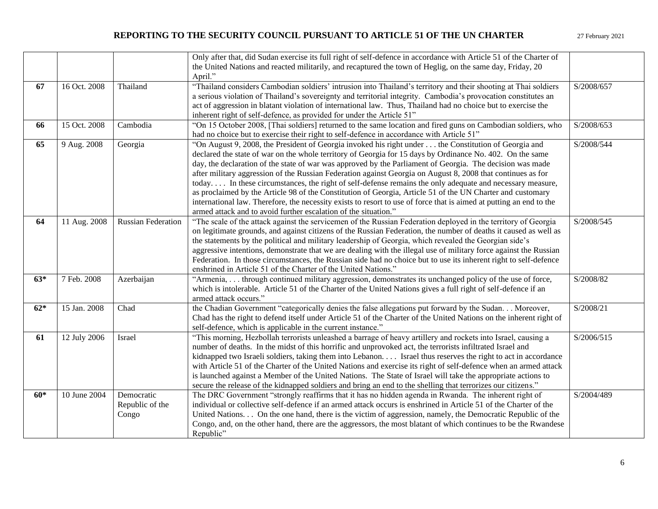|       |              |                           | Only after that, did Sudan exercise its full right of self-defence in accordance with Article 51 of the Charter of  |            |
|-------|--------------|---------------------------|---------------------------------------------------------------------------------------------------------------------|------------|
|       |              |                           | the United Nations and reacted militarily, and recaptured the town of Heglig, on the same day, Friday, 20           |            |
|       |              |                           | April."                                                                                                             |            |
| 67    | 16 Oct. 2008 | Thailand                  | "Thailand considers Cambodian soldiers' intrusion into Thailand's territory and their shooting at Thai soldiers     | S/2008/657 |
|       |              |                           | a serious violation of Thailand's sovereignty and territorial integrity. Cambodia's provocation constitutes an      |            |
|       |              |                           | act of aggression in blatant violation of international law. Thus, Thailand had no choice but to exercise the       |            |
|       |              |                           | inherent right of self-defence, as provided for under the Article 51"                                               |            |
| 66    | 15 Oct. 2008 | Cambodia                  | "On 15 October 2008, [Thai soldiers] returned to the same location and fired guns on Cambodian soldiers, who        | S/2008/653 |
|       |              |                           | had no choice but to exercise their right to self-defence in accordance with Article 51"                            |            |
| 65    | 9 Aug. 2008  | Georgia                   | "On August 9, 2008, the President of Georgia invoked his right under the Constitution of Georgia and                | S/2008/544 |
|       |              |                           | declared the state of war on the whole territory of Georgia for 15 days by Ordinance No. 402. On the same           |            |
|       |              |                           | day, the declaration of the state of war was approved by the Parliament of Georgia. The decision was made           |            |
|       |              |                           | after military aggression of the Russian Federation against Georgia on August 8, 2008 that continues as for         |            |
|       |              |                           | today In these circumstances, the right of self-defense remains the only adequate and necessary measure,            |            |
|       |              |                           | as proclaimed by the Article 98 of the Constitution of Georgia, Article 51 of the UN Charter and customary          |            |
|       |              |                           |                                                                                                                     |            |
|       |              |                           | international law. Therefore, the necessity exists to resort to use of force that is aimed at putting an end to the |            |
|       |              |                           | armed attack and to avoid further escalation of the situation."                                                     |            |
| 64    | 11 Aug. 2008 | <b>Russian Federation</b> | "The scale of the attack against the servicemen of the Russian Federation deployed in the territory of Georgia      | S/2008/545 |
|       |              |                           | on legitimate grounds, and against citizens of the Russian Federation, the number of deaths it caused as well as    |            |
|       |              |                           | the statements by the political and military leadership of Georgia, which revealed the Georgian side's              |            |
|       |              |                           | aggressive intentions, demonstrate that we are dealing with the illegal use of military force against the Russian   |            |
|       |              |                           | Federation. In those circumstances, the Russian side had no choice but to use its inherent right to self-defence    |            |
|       |              |                           | enshrined in Article 51 of the Charter of the United Nations."                                                      |            |
| $63*$ | 7 Feb. 2008  | Azerbaijan                | "Armenia, through continued military aggression, demonstrates its unchanged policy of the use of force,             | S/2008/82  |
|       |              |                           | which is intolerable. Article 51 of the Charter of the United Nations gives a full right of self-defence if an      |            |
|       |              |                           | armed attack occurs."                                                                                               |            |
| $62*$ | 15 Jan. 2008 | Chad                      | the Chadian Government "categorically denies the false allegations put forward by the Sudan Moreover,               | S/2008/21  |
|       |              |                           | Chad has the right to defend itself under Article 51 of the Charter of the United Nations on the inherent right of  |            |
|       |              |                           | self-defence, which is applicable in the current instance."                                                         |            |
| 61    | 12 July 2006 | Israel                    | "This morning, Hezbollah terrorists unleashed a barrage of heavy artillery and rockets into Israel, causing a       | S/2006/515 |
|       |              |                           | number of deaths. In the midst of this horrific and unprovoked act, the terrorists infiltrated Israel and           |            |
|       |              |                           | kidnapped two Israeli soldiers, taking them into Lebanon. Israel thus reserves the right to act in accordance       |            |
|       |              |                           | with Article 51 of the Charter of the United Nations and exercise its right of self-defence when an armed attack    |            |
|       |              |                           | is launched against a Member of the United Nations. The State of Israel will take the appropriate actions to        |            |
|       |              |                           | secure the release of the kidnapped soldiers and bring an end to the shelling that terrorizes our citizens."        |            |
| $60*$ | 10 June 2004 | Democratic                | The DRC Government "strongly reaffirms that it has no hidden agenda in Rwanda. The inherent right of                | S/2004/489 |
|       |              | Republic of the           | individual or collective self-defence if an armed attack occurs is enshrined in Article 51 of the Charter of the    |            |
|       |              | Congo                     | United Nations. On the one hand, there is the victim of aggression, namely, the Democratic Republic of the          |            |
|       |              |                           | Congo, and, on the other hand, there are the aggressors, the most blatant of which continues to be the Rwandese     |            |
|       |              |                           | Republic"                                                                                                           |            |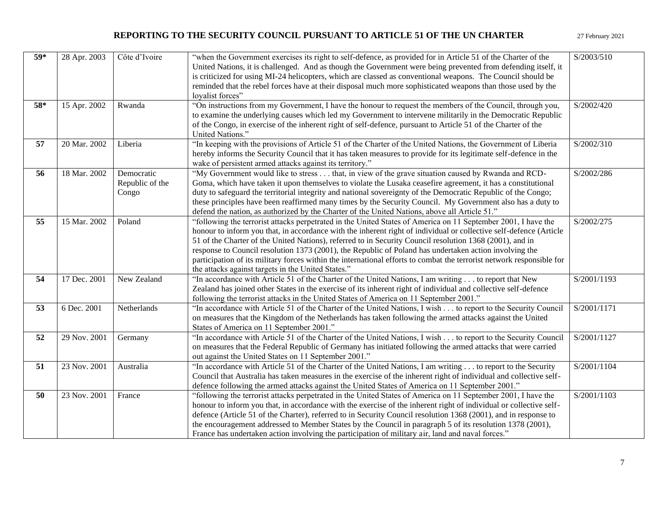| 59* | 28 Apr. 2003 | Côte d'Ivoire                          | "when the Government exercises its right to self-defence, as provided for in Article 51 of the Charter of the<br>United Nations, it is challenged. And as though the Government were being prevented from defending itself, it<br>is criticized for using MI-24 helicopters, which are classed as conventional weapons. The Council should be<br>reminded that the rebel forces have at their disposal much more sophisticated weapons than those used by the<br>loyalist forces"                                                                                                                                                        | S/2003/510  |
|-----|--------------|----------------------------------------|------------------------------------------------------------------------------------------------------------------------------------------------------------------------------------------------------------------------------------------------------------------------------------------------------------------------------------------------------------------------------------------------------------------------------------------------------------------------------------------------------------------------------------------------------------------------------------------------------------------------------------------|-------------|
| 58* | 15 Apr. 2002 | Rwanda                                 | "On instructions from my Government, I have the honour to request the members of the Council, through you,<br>to examine the underlying causes which led my Government to intervene militarily in the Democratic Republic<br>of the Congo, in exercise of the inherent right of self-defence, pursuant to Article 51 of the Charter of the<br>United Nations."                                                                                                                                                                                                                                                                           | S/2002/420  |
| 57  | 20 Mar. 2002 | Liberia                                | "In keeping with the provisions of Article 51 of the Charter of the United Nations, the Government of Liberia<br>hereby informs the Security Council that it has taken measures to provide for its legitimate self-defence in the<br>wake of persistent armed attacks against its territory."                                                                                                                                                                                                                                                                                                                                            | S/2002/310  |
| 56  | 18 Mar. 2002 | Democratic<br>Republic of the<br>Congo | "My Government would like to stress that, in view of the grave situation caused by Rwanda and RCD-<br>Goma, which have taken it upon themselves to violate the Lusaka ceasefire agreement, it has a constitutional<br>duty to safeguard the territorial integrity and national sovereignty of the Democratic Republic of the Congo;<br>these principles have been reaffirmed many times by the Security Council. My Government also has a duty to<br>defend the nation, as authorized by the Charter of the United Nations, above all Article 51."                                                                                       | S/2002/286  |
| 55  | 15 Mar. 2002 | Poland                                 | "following the terrorist attacks perpetrated in the United States of America on 11 September 2001, I have the<br>honour to inform you that, in accordance with the inherent right of individual or collective self-defence (Article<br>51 of the Charter of the United Nations), referred to in Security Council resolution 1368 (2001), and in<br>response to Council resolution 1373 (2001), the Republic of Poland has undertaken action involving the<br>participation of its military forces within the international efforts to combat the terrorist network responsible for<br>the attacks against targets in the United States." | S/2002/275  |
| 54  | 17 Dec. 2001 | New Zealand                            | "In accordance with Article 51 of the Charter of the United Nations, I am writing to report that New<br>Zealand has joined other States in the exercise of its inherent right of individual and collective self-defence<br>following the terrorist attacks in the United States of America on 11 September 2001."                                                                                                                                                                                                                                                                                                                        | S/2001/1193 |
| 53  | 6 Dec. 2001  | Netherlands                            | "In accordance with Article 51 of the Charter of the United Nations, I wish to report to the Security Council<br>on measures that the Kingdom of the Netherlands has taken following the armed attacks against the United<br>States of America on 11 September 2001."                                                                                                                                                                                                                                                                                                                                                                    | S/2001/1171 |
| 52  | 29 Nov. 2001 | Germany                                | "In accordance with Article 51 of the Charter of the United Nations, I wish to report to the Security Council<br>on measures that the Federal Republic of Germany has initiated following the armed attacks that were carried<br>out against the United States on 11 September 2001."                                                                                                                                                                                                                                                                                                                                                    | S/2001/1127 |
| 51  | 23 Nov. 2001 | Australia                              | "In accordance with Article 51 of the Charter of the United Nations, I am writing to report to the Security<br>Council that Australia has taken measures in the exercise of the inherent right of individual and collective self-<br>defence following the armed attacks against the United States of America on 11 September 2001."                                                                                                                                                                                                                                                                                                     | S/2001/1104 |
| 50  | 23 Nov. 2001 | France                                 | "following the terrorist attacks perpetrated in the United States of America on 11 September 2001, I have the<br>honour to inform you that, in accordance with the exercise of the inherent right of individual or collective self-<br>defence (Article 51 of the Charter), referred to in Security Council resolution 1368 (2001), and in response to<br>the encouragement addressed to Member States by the Council in paragraph 5 of its resolution 1378 (2001),<br>France has undertaken action involving the participation of military air, land and naval forces."                                                                 | S/2001/1103 |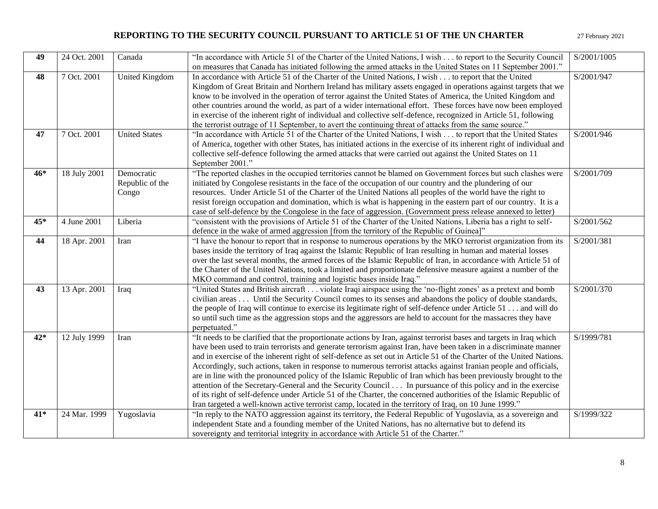| 49    | 24 Oct. 2001 | Canada                | "In accordance with Article 51 of the Charter of the United Nations, I wish to report to the Security Council         | S/2001/1005 |
|-------|--------------|-----------------------|-----------------------------------------------------------------------------------------------------------------------|-------------|
|       |              |                       | on measures that Canada has initiated following the armed attacks in the United States on 11 September 2001."         |             |
| 48    | 7 Oct. 2001  | <b>United Kingdom</b> | In accordance with Article 51 of the Charter of the United Nations, I wish to report that the United                  | S/2001/947  |
|       |              |                       | Kingdom of Great Britain and Northern Ireland has military assets engaged in operations against targets that we       |             |
|       |              |                       | know to be involved in the operation of terror against the United States of America, the United Kingdom and           |             |
|       |              |                       | other countries around the world, as part of a wider international effort. These forces have now been employed        |             |
|       |              |                       | in exercise of the inherent right of individual and collective self-defence, recognized in Article 51, following      |             |
|       |              |                       | the terrorist outrage of 11 September, to avert the continuing threat of attacks from the same source."               |             |
| 47    | 7 Oct. 2001  | <b>United States</b>  | "In accordance with Article 51 of the Charter of the United Nations, I wish to report that the United States          | S/2001/946  |
|       |              |                       | of America, together with other States, has initiated actions in the exercise of its inherent right of individual and |             |
|       |              |                       | collective self-defence following the armed attacks that were carried out against the United States on 11             |             |
|       |              |                       | September 2001."                                                                                                      |             |
| $46*$ | 18 July 2001 | Democratic            | "The reported clashes in the occupied territories cannot be blamed on Government forces but such clashes were         | S/2001/709  |
|       |              | Republic of the       | initiated by Congolese resistants in the face of the occupation of our country and the plundering of our              |             |
|       |              | Congo                 | resources. Under Article 51 of the Charter of the United Nations all peoples of the world have the right to           |             |
|       |              |                       | resist foreign occupation and domination, which is what is happening in the eastern part of our country. It is a      |             |
|       |              |                       | case of self-defence by the Congolese in the face of aggression. (Government press release annexed to letter)         |             |
| $45*$ | 4 June 2001  | Liberia               | "consistent with the provisions of Article 51 of the Charter of the United Nations, Liberia has a right to self-      | S/2001/562  |
|       |              |                       | defence in the wake of armed aggression [from the territory of the Republic of Guinea]"                               |             |
| 44    | 18 Apr. 2001 | Iran                  | "I have the honour to report that in response to numerous operations by the MKO terrorist organization from its       | S/2001/381  |
|       |              |                       | bases inside the territory of Iraq against the Islamic Republic of Iran resulting in human and material losses        |             |
|       |              |                       | over the last several months, the armed forces of the Islamic Republic of Iran, in accordance with Article 51 of      |             |
|       |              |                       | the Charter of the United Nations, took a limited and proportionate defensive measure against a number of the         |             |
|       |              |                       | MKO command and control, training and logistic bases inside Iraq."                                                    |             |
| 43    | 13 Apr. 2001 | Iraq                  | "United States and British aircraft violate Iraqi airspace using the 'no-flight zones' as a pretext and bomb          | S/2001/370  |
|       |              |                       | civilian areas  Until the Security Council comes to its senses and abandons the policy of double standards,           |             |
|       |              |                       | the people of Iraq will continue to exercise its legitimate right of self-defence under Article 51 and will do        |             |
|       |              |                       | so until such time as the aggression stops and the aggressors are held to account for the massacres they have         |             |
|       |              |                       | perpetuated."                                                                                                         |             |
| $42*$ | 12 July 1999 | Iran                  | "It needs to be clarified that the proportionate actions by Iran, against terrorist bases and targets in Iraq which   | S/1999/781  |
|       |              |                       | have been used to train terrorists and generate terrorism against Iran, have been taken in a discriminate manner      |             |
|       |              |                       | and in exercise of the inherent right of self-defence as set out in Article 51 of the Charter of the United Nations.  |             |
|       |              |                       | Accordingly, such actions, taken in response to numerous terrorist attacks against Iranian people and officials,      |             |
|       |              |                       | are in line with the pronounced policy of the Islamic Republic of Iran which has been previously brought to the       |             |
|       |              |                       | attention of the Secretary-General and the Security Council In pursuance of this policy and in the exercise           |             |
|       |              |                       | of its right of self-defence under Article 51 of the Charter, the concerned authorities of the Islamic Republic of    |             |
|       |              |                       | Iran targeted a well-known active terrorist camp, located in the territory of Iraq, on 10 June 1999."                 |             |
| 41*   | 24 Mar. 1999 | Yugoslavia            | "In reply to the NATO aggression against its territory, the Federal Republic of Yugoslavia, as a sovereign and        | S/1999/322  |
|       |              |                       | independent State and a founding member of the United Nations, has no alternative but to defend its                   |             |
|       |              |                       | sovereignty and territorial integrity in accordance with Article 51 of the Charter."                                  |             |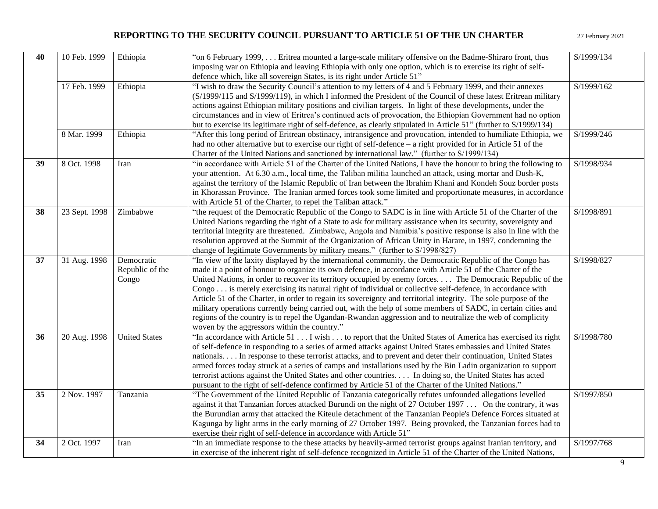| 40 | 10 Feb. 1999  | Ethiopia                               | "on 6 February 1999, Eritrea mounted a large-scale military offensive on the Badme-Shiraro front, thus<br>imposing war on Ethiopia and leaving Ethiopia with only one option, which is to exercise its right of self-<br>defence which, like all sovereign States, is its right under Article 51"                                                                                                                                                                                                                                                                                                                                                                                                                                                                                                                                                    | S/1999/134 |
|----|---------------|----------------------------------------|------------------------------------------------------------------------------------------------------------------------------------------------------------------------------------------------------------------------------------------------------------------------------------------------------------------------------------------------------------------------------------------------------------------------------------------------------------------------------------------------------------------------------------------------------------------------------------------------------------------------------------------------------------------------------------------------------------------------------------------------------------------------------------------------------------------------------------------------------|------------|
|    | 17 Feb. 1999  | Ethiopia                               | "I wish to draw the Security Council's attention to my letters of 4 and 5 February 1999, and their annexes<br>(S/1999/115 and S/1999/119), in which I informed the President of the Council of these latest Eritrean military<br>actions against Ethiopian military positions and civilian targets. In light of these developments, under the<br>circumstances and in view of Eritrea's continued acts of provocation, the Ethiopian Government had no option<br>but to exercise its legitimate right of self-defence, as clearly stipulated in Article 51" (further to S/1999/134)                                                                                                                                                                                                                                                                  | S/1999/162 |
|    | 8 Mar. 1999   | Ethiopia                               | "After this long period of Eritrean obstinacy, intransigence and provocation, intended to humiliate Ethiopia, we<br>had no other alternative but to exercise our right of self-defence – a right provided for in Article 51 of the<br>Charter of the United Nations and sanctioned by international law." (further to S/1999/134)                                                                                                                                                                                                                                                                                                                                                                                                                                                                                                                    | S/1999/246 |
| 39 | 8 Oct. 1998   | Iran                                   | "in accordance with Article 51 of the Charter of the United Nations, I have the honour to bring the following to<br>your attention. At 6.30 a.m., local time, the Taliban militia launched an attack, using mortar and Dush-K,<br>against the territory of the Islamic Republic of Iran between the Ibrahim Khani and Kondeh Souz border posts<br>in Khorassan Province. The Iranian armed forces took some limited and proportionate measures, in accordance<br>with Article 51 of the Charter, to repel the Taliban attack."                                                                                                                                                                                                                                                                                                                       | S/1998/934 |
| 38 | 23 Sept. 1998 | Zimbabwe                               | "the request of the Democratic Republic of the Congo to SADC is in line with Article 51 of the Charter of the<br>United Nations regarding the right of a State to ask for military assistance when its security, sovereignty and<br>territorial integrity are threatened. Zimbabwe, Angola and Namibia's positive response is also in line with the<br>resolution approved at the Summit of the Organization of African Unity in Harare, in 1997, condemning the<br>change of legitimate Governments by military means." (further to S/1998/827)                                                                                                                                                                                                                                                                                                     | S/1998/891 |
| 37 | 31 Aug. 1998  | Democratic<br>Republic of the<br>Congo | "In view of the laxity displayed by the international community, the Democratic Republic of the Congo has<br>made it a point of honour to organize its own defence, in accordance with Article 51 of the Charter of the<br>United Nations, in order to recover its territory occupied by enemy forces. The Democratic Republic of the<br>Congo is merely exercising its natural right of individual or collective self-defence, in accordance with<br>Article 51 of the Charter, in order to regain its sovereignty and territorial integrity. The sole purpose of the<br>military operations currently being carried out, with the help of some members of SADC, in certain cities and<br>regions of the country is to repel the Ugandan-Rwandan aggression and to neutralize the web of complicity<br>woven by the aggressors within the country." | S/1998/827 |
| 36 | 20 Aug. 1998  | <b>United States</b>                   | "In accordance with Article 51 I wish to report that the United States of America has exercised its right<br>of self-defence in responding to a series of armed attacks against United States embassies and United States<br>nationals In response to these terrorist attacks, and to prevent and deter their continuation, United States<br>armed forces today struck at a series of camps and installations used by the Bin Ladin organization to support<br>terrorist actions against the United States and other countries. In doing so, the United States has acted<br>pursuant to the right of self-defence confirmed by Article 51 of the Charter of the United Nations."                                                                                                                                                                     | S/1998/780 |
| 35 | 2 Nov. 1997   | Tanzania                               | "The Government of the United Republic of Tanzania categorically refutes unfounded allegations levelled<br>against it that Tanzanian forces attacked Burundi on the night of 27 October 1997  On the contrary, it was<br>the Burundian army that attacked the Kiteule detachment of the Tanzanian People's Defence Forces situated at<br>Kagunga by light arms in the early morning of 27 October 1997. Being provoked, the Tanzanian forces had to<br>exercise their right of self-defence in accordance with Article 51"                                                                                                                                                                                                                                                                                                                           | S/1997/850 |
| 34 | 2 Oct. 1997   | Iran                                   | "In an immediate response to the these attacks by heavily-armed terrorist groups against Iranian territory, and<br>in exercise of the inherent right of self-defence recognized in Article 51 of the Charter of the United Nations,                                                                                                                                                                                                                                                                                                                                                                                                                                                                                                                                                                                                                  | S/1997/768 |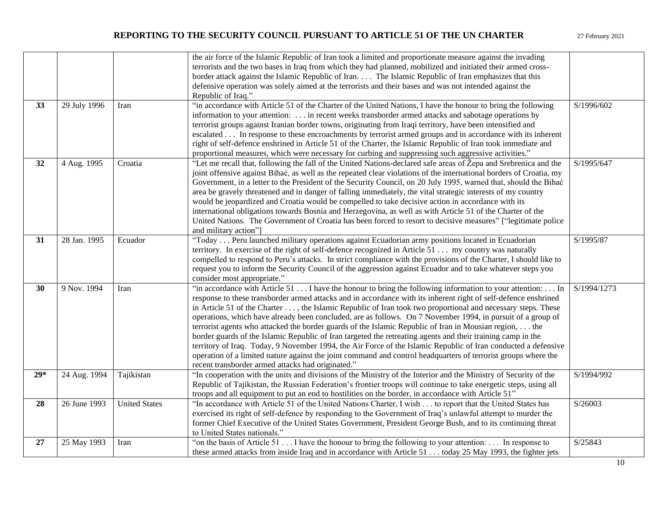|       |              |                      | the air force of the Islamic Republic of Iran took a limited and proportionate measure against the invading         |             |
|-------|--------------|----------------------|---------------------------------------------------------------------------------------------------------------------|-------------|
|       |              |                      | terrorists and the two bases in Iraq from which they had planned, mobilized and initiated their armed cross-        |             |
|       |              |                      | border attack against the Islamic Republic of Iran The Islamic Republic of Iran emphasizes that this                |             |
|       |              |                      | defensive operation was solely aimed at the terrorists and their bases and was not intended against the             |             |
|       |              |                      | Republic of Iraq."                                                                                                  |             |
| 33    | 29 July 1996 | Iran                 | "in accordance with Article 51 of the Charter of the United Nations, I have the honour to bring the following       | S/1996/602  |
|       |              |                      | information to your attention:  in recent weeks transborder armed attacks and sabotage operations by                |             |
|       |              |                      | terrorist groups against Iranian border towns, originating from Iraqi territory, have been intensified and          |             |
|       |              |                      | escalated In response to these encroachments by terrorist armed groups and in accordance with its inherent          |             |
|       |              |                      | right of self-defence enshrined in Article 51 of the Charter, the Islamic Republic of Iran took immediate and       |             |
|       |              |                      | proportional measures, which were necessary for curbing and suppressing such aggressive activities."                |             |
| 32    | 4 Aug. 1995  | Croatia              | "Let me recall that, following the fall of the United Nations-declared safe areas of Žepa and Srebrenica and the    | S/1995/647  |
|       |              |                      | joint offensive against Bihać, as well as the repeated clear violations of the international borders of Croatia, my |             |
|       |              |                      | Government, in a letter to the President of the Security Council, on 20 July 1995, warned that, should the Bihać    |             |
|       |              |                      | area be gravely threatened and in danger of falling immediately, the vital strategic interests of my country        |             |
|       |              |                      | would be jeopardized and Croatia would be compelled to take decisive action in accordance with its                  |             |
|       |              |                      | international obligations towards Bosnia and Herzegovina, as well as with Article 51 of the Charter of the          |             |
|       |              |                      | United Nations. The Government of Croatia has been forced to resort to decisive measures" ["legitimate police       |             |
|       |              |                      | and military action"]                                                                                               |             |
| 31    | 28 Jan. 1995 | Ecuador              | "Today Peru launched military operations against Ecuadorian army positions located in Ecuadorian                    | S/1995/87   |
|       |              |                      | territory. In exercise of the right of self-defence recognized in Article 51 my country was naturally               |             |
|       |              |                      | compelled to respond to Peru's attacks. In strict compliance with the provisions of the Charter, I should like to   |             |
|       |              |                      | request you to inform the Security Council of the aggression against Ecuador and to take whatever steps you         |             |
|       |              |                      | consider most appropriate."                                                                                         |             |
| 30    | 9 Nov. 1994  | Iran                 | "in accordance with Article $51 \dots$ I have the honour to bring the following information to your attention:  In  | S/1994/1273 |
|       |              |                      | response to these transborder armed attacks and in accordance with its inherent right of self-defence enshrined     |             |
|       |              |                      | in Article 51 of the Charter , the Islamic Republic of Iran took two proportional and necessary steps. These        |             |
|       |              |                      | operations, which have already been concluded, are as follows. On 7 November 1994, in pursuit of a group of         |             |
|       |              |                      | terrorist agents who attacked the border guards of the Islamic Republic of Iran in Mousian region,  the             |             |
|       |              |                      | border guards of the Islamic Republic of Iran targeted the retreating agents and their training camp in the         |             |
|       |              |                      | territory of Iraq. Today, 9 November 1994, the Air Force of the Islamic Republic of Iran conducted a defensive      |             |
|       |              |                      | operation of a limited nature against the joint command and control headquarters of terrorist groups where the      |             |
|       |              |                      | recent transborder armed attacks had originated."                                                                   |             |
| $29*$ | 24 Aug. 1994 | Tajikistan           | "In cooperation with the units and divisions of the Ministry of the Interior and the Ministry of Security of the    | S/1994/992  |
|       |              |                      | Republic of Tajikistan, the Russian Federation's frontier troops will continue to take energetic steps, using all   |             |
|       |              |                      | troops and all equipment to put an end to hostilities on the border, in accordance with Article 51"                 |             |
| 28    | 26 June 1993 | <b>United States</b> | "In accordance with Article 51 of the United Nations Charter, I wish to report that the United States has           | S/26003     |
|       |              |                      | exercised its right of self-defence by responding to the Government of Iraq's unlawful attempt to murder the        |             |
|       |              |                      | former Chief Executive of the United States Government, President George Bush, and to its continuing threat         |             |
|       |              |                      | to United States nationals."                                                                                        |             |
| 27    | 25 May 1993  | Iran                 | "on the basis of Article 51 I have the honour to bring the following to your attention: In response to              | S/25843     |
|       |              |                      | these armed attacks from inside Iraq and in accordance with Article 51 today 25 May 1993, the fighter jets          |             |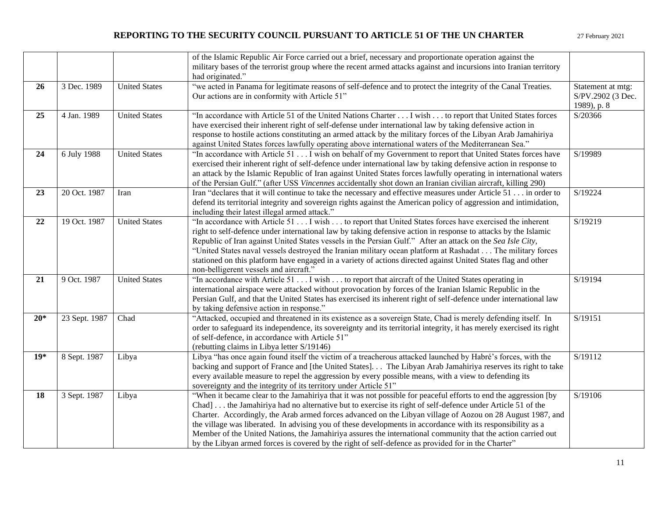|       |               |                      | of the Islamic Republic Air Force carried out a brief, necessary and proportionate operation against the<br>military bases of the terrorist group where the recent armed attacks against and incursions into Iranian territory<br>had originated."                                                                                                                                                                                                                                                                                                                                                                                                                              |                                                       |
|-------|---------------|----------------------|---------------------------------------------------------------------------------------------------------------------------------------------------------------------------------------------------------------------------------------------------------------------------------------------------------------------------------------------------------------------------------------------------------------------------------------------------------------------------------------------------------------------------------------------------------------------------------------------------------------------------------------------------------------------------------|-------------------------------------------------------|
| 26    | 3 Dec. 1989   | <b>United States</b> | "we acted in Panama for legitimate reasons of self-defence and to protect the integrity of the Canal Treaties.<br>Our actions are in conformity with Article 51"                                                                                                                                                                                                                                                                                                                                                                                                                                                                                                                | Statement at mtg:<br>S/PV.2902 (3 Dec.<br>1989), p. 8 |
| 25    | 4 Jan. 1989   | <b>United States</b> | "In accordance with Article 51 of the United Nations Charter I wish to report that United States forces<br>have exercised their inherent right of self-defense under international law by taking defensive action in<br>response to hostile actions constituting an armed attack by the military forces of the Libyan Arab Jamahiriya<br>against United States forces lawfully operating above international waters of the Mediterranean Sea."                                                                                                                                                                                                                                  | S/20366                                               |
| 24    | 6 July 1988   | <b>United States</b> | "In accordance with Article 51 I wish on behalf of my Government to report that United States forces have<br>exercised their inherent right of self-defence under international law by taking defensive action in response to<br>an attack by the Islamic Republic of Iran against United States forces lawfully operating in international waters<br>of the Persian Gulf." (after USS Vincennes accidentally shot down an Iranian civilian aircraft, killing 290)                                                                                                                                                                                                              | S/19989                                               |
| 23    | 20 Oct. 1987  | Iran                 | Iran "declares that it will continue to take the necessary and effective measures under Article 51 in order to<br>defend its territorial integrity and sovereign rights against the American policy of aggression and intimidation,<br>including their latest illegal armed attack."                                                                                                                                                                                                                                                                                                                                                                                            | S/19224                                               |
| 22    | 19 Oct. 1987  | <b>United States</b> | "In accordance with Article 51 I wish to report that United States forces have exercised the inherent<br>right to self-defence under international law by taking defensive action in response to attacks by the Islamic<br>Republic of Iran against United States vessels in the Persian Gulf." After an attack on the Sea Isle City,<br>"United States naval vessels destroyed the Iranian military ocean platform at Rashadat The military forces<br>stationed on this platform have engaged in a variety of actions directed against United States flag and other<br>non-belligerent vessels and aircraft."                                                                  | S/19219                                               |
| 21    | 9 Oct. 1987   | <b>United States</b> | "In accordance with Article 51 I wish to report that aircraft of the United States operating in<br>international airspace were attacked without provocation by forces of the Iranian Islamic Republic in the<br>Persian Gulf, and that the United States has exercised its inherent right of self-defence under international law<br>by taking defensive action in response."                                                                                                                                                                                                                                                                                                   | S/19194                                               |
| $20*$ | 23 Sept. 1987 | Chad                 | "Attacked, occupied and threatened in its existence as a sovereign State, Chad is merely defending itself. In<br>order to safeguard its independence, its sovereignty and its territorial integrity, it has merely exercised its right<br>of self-defence, in accordance with Article 51"<br>(rebutting claims in Libya letter S/19146)                                                                                                                                                                                                                                                                                                                                         | S/19151                                               |
| $19*$ | 8 Sept. 1987  | Libya                | Libya "has once again found itself the victim of a treacherous attacked launched by Habré's forces, with the<br>backing and support of France and [the United States] The Libyan Arab Jamahiriya reserves its right to take<br>every available measure to repel the aggression by every possible means, with a view to defending its<br>sovereignty and the integrity of its territory under Article 51"                                                                                                                                                                                                                                                                        | S/19112                                               |
| 18    | 3 Sept. 1987  | Libya                | "When it became clear to the Jamahiriya that it was not possible for peaceful efforts to end the aggression [by<br>Chad] the Jamahiriya had no alternative but to exercise its right of self-defence under Article 51 of the<br>Charter. Accordingly, the Arab armed forces advanced on the Libyan village of Aozou on 28 August 1987, and<br>the village was liberated. In advising you of these developments in accordance with its responsibility as a<br>Member of the United Nations, the Jamahiriya assures the international community that the action carried out<br>by the Libyan armed forces is covered by the right of self-defence as provided for in the Charter" | S/19106                                               |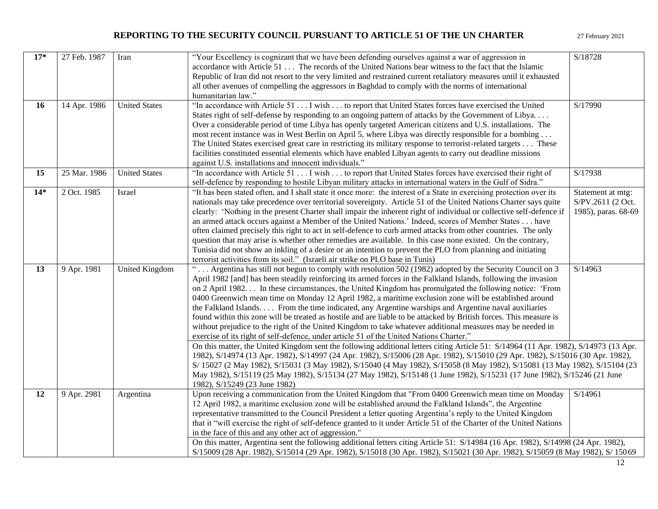| $17*$ | 27 Feb. 1987 | Iran                 | "Your Excellency is cognizant that we have been defending ourselves against a war of aggression in                                   | S/18728             |
|-------|--------------|----------------------|--------------------------------------------------------------------------------------------------------------------------------------|---------------------|
|       |              |                      | accordance with Article 51 The records of the United Nations bear witness to the fact that the Islamic                               |                     |
|       |              |                      | Republic of Iran did not resort to the very limited and restrained current retaliatory measures until it exhausted                   |                     |
|       |              |                      | all other avenues of compelling the aggressors in Baghdad to comply with the norms of international                                  |                     |
|       |              |                      |                                                                                                                                      |                     |
|       |              |                      | humanitarian law."                                                                                                                   |                     |
| 16    | 14 Apr. 1986 | <b>United States</b> | "In accordance with Article 51 I wish to report that United States forces have exercised the United                                  | S/17990             |
|       |              |                      | States right of self-defense by responding to an ongoing pattern of attacks by the Government of Libya                               |                     |
|       |              |                      | Over a considerable period of time Libya has openly targeted American citizens and U.S. installations. The                           |                     |
|       |              |                      | most recent instance was in West Berlin on April 5, where Libya was directly responsible for a bombing                               |                     |
|       |              |                      | The United States exercised great care in restricting its military response to terrorist-related targets These                       |                     |
|       |              |                      | facilities constituted essential elements which have enabled Libyan agents to carry out deadline missions                            |                     |
|       |              |                      | against U.S. installations and innocent individuals."                                                                                |                     |
| 15    | 25 Mar. 1986 | <b>United States</b> | "In accordance with Article 51 I wish to report that United States forces have exercised their right of                              | S/17938             |
|       |              |                      | self-defence by responding to hostile Libyan military attacks in international waters in the Gulf of Sidra."                         |                     |
| $14*$ | 2 Oct. 1985  | Israel               | "It has been stated often, and I shall state it once more: the interest of a State in exercising protection over its                 | Statement at mtg:   |
|       |              |                      | nationals may take precedence over territorial sovereignty. Article 51 of the United Nations Charter says quite                      | S/PV.2611 (2 Oct.   |
|       |              |                      | clearly: 'Nothing in the present Charter shall impair the inherent right of individual or collective self-defence if                 | 1985), paras. 68-69 |
|       |              |                      | an armed attack occurs against a Member of the United Nations.' Indeed, scores of Member States have                                 |                     |
|       |              |                      | often claimed precisely this right to act in self-defence to curb armed attacks from other countries. The only                       |                     |
|       |              |                      | question that may arise is whether other remedies are available. In this case none existed. On the contrary,                         |                     |
|       |              |                      | Tunisia did not show an inkling of a desire or an intention to prevent the PLO from planning and initiating                          |                     |
|       |              |                      | terrorist activities from its soil." (Israeli air strike on PLO base in Tunis)                                                       |                     |
| 13    | 9 Apr. 1981  | United Kingdom       | Argentina has still not begun to comply with resolution 502 (1982) adopted by the Security Council on 3                              | S/14963             |
|       |              |                      | April 1982 [and] has been steadily reinforcing its armed forces in the Falkland Islands, following the invasion                      |                     |
|       |              |                      | on 2 April 1982 In these circumstances, the United Kingdom has promulgated the following notice: 'From                               |                     |
|       |              |                      | 0400 Greenwich mean time on Monday 12 April 1982, a maritime exclusion zone will be established around                               |                     |
|       |              |                      | the Falkland Islands From the time indicated, any Argentine warships and Argentine naval auxiliaries                                 |                     |
|       |              |                      | found within this zone will be treated as hostile and are liable to be attacked by British forces. This measure is                   |                     |
|       |              |                      | without prejudice to the right of the United Kingdom to take whatever additional measures may be needed in                           |                     |
|       |              |                      |                                                                                                                                      |                     |
|       |              |                      | exercise of its right of self-defence, under article 51 of the United Nations Charter."                                              |                     |
|       |              |                      | On this matter, the United Kingdom sent the following additional letters citing Article 51: S/14964 (11 Apr. 1982), S/14973 (13 Apr. |                     |
|       |              |                      | 1982), S/14974 (13 Apr. 1982), S/14997 (24 Apr. 1982), S/15006 (28 Apr. 1982), S/15010 (29 Apr. 1982), S/15016 (30 Apr. 1982),       |                     |
|       |              |                      | S/15027 (2 May 1982), S/15031 (3 May 1982), S/15040 (4 May 1982), S/15058 (8 May 1982), S/15081 (13 May 1982), S/15104 (23           |                     |
|       |              |                      | May 1982), S/15119 (25 May 1982), S/15134 (27 May 1982), S/15148 (1 June 1982), S/15231 (17 June 1982), S/15246 (21 June             |                     |
|       |              |                      | 1982), S/15249 (23 June 1982)                                                                                                        |                     |
| 12    | 9 Apr. 2981  | Argentina            | Upon receiving a communication from the United Kingdom that "From 0400 Greenwich mean time on Monday                                 | S/14961             |
|       |              |                      | 12 April 1982, a maritime exclusion zone will be established around the Falkland Islands", the Argentine                             |                     |
|       |              |                      | representative transmitted to the Council President a letter quoting Argentina's reply to the United Kingdom                         |                     |
|       |              |                      | that it "will exercise the right of self-defence granted to it under Article 51 of the Charter of the United Nations                 |                     |
|       |              |                      | in the face of this and any other act of aggression."                                                                                |                     |
|       |              |                      | On this matter, Argentina sent the following additional letters citing Article 51: S/14984 (16 Apr. 1982), S/14998 (24 Apr. 1982),   |                     |
|       |              |                      | S/15009 (28 Apr. 1982), S/15014 (29 Apr. 1982), S/15018 (30 Apr. 1982), S/15021 (30 Apr. 1982), S/15059 (8 May 1982), S/ 15069       |                     |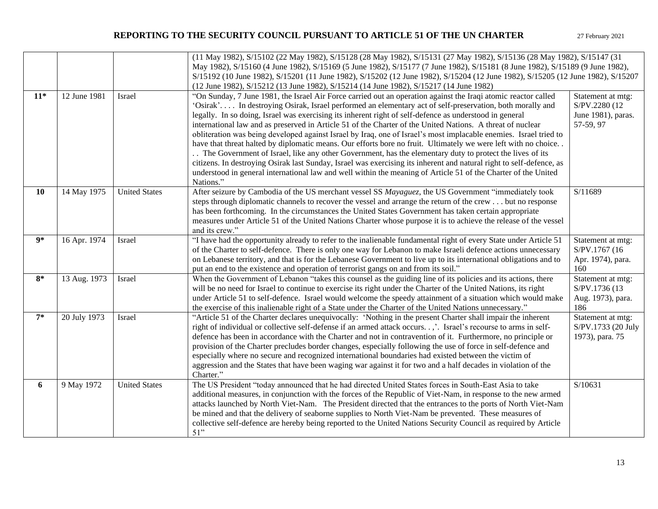|       |              |                      | (11 May 1982), S/15102 (22 May 1982), S/15128 (28 May 1982), S/15131 (27 May 1982), S/15136 (28 May 1982), S/15147 (31<br>May 1982), S/15160 (4 June 1982), S/15169 (5 June 1982), S/15177 (7 June 1982), S/15181 (8 June 1982), S/15189 (9 June 1982),<br>S/15192 (10 June 1982), S/15201 (11 June 1982), S/15202 (12 June 1982), S/15204 (12 June 1982), S/15205 (12 June 1982), S/15207<br>(12 June 1982), S/15212 (13 June 1982), S/15214 (14 June 1982), S/15217 (14 June 1982)                                                                                                                                                                                                                                                                                                                                                                                                                                                                                                                                                                          |                                                                       |  |
|-------|--------------|----------------------|---------------------------------------------------------------------------------------------------------------------------------------------------------------------------------------------------------------------------------------------------------------------------------------------------------------------------------------------------------------------------------------------------------------------------------------------------------------------------------------------------------------------------------------------------------------------------------------------------------------------------------------------------------------------------------------------------------------------------------------------------------------------------------------------------------------------------------------------------------------------------------------------------------------------------------------------------------------------------------------------------------------------------------------------------------------|-----------------------------------------------------------------------|--|
| $11*$ | 12 June 1981 | Israel               | "On Sunday, 7 June 1981, the Israel Air Force carried out an operation against the Iraqi atomic reactor called<br>'Osirak' In destroying Osirak, Israel performed an elementary act of self-preservation, both morally and<br>legally. In so doing, Israel was exercising its inherent right of self-defence as understood in general<br>international law and as preserved in Article 51 of the Charter of the United Nations. A threat of nuclear<br>obliteration was being developed against Israel by Iraq, one of Israel's most implacable enemies. Israel tried to<br>have that threat halted by diplomatic means. Our efforts bore no fruit. Ultimately we were left with no choice<br>The Government of Israel, like any other Government, has the elementary duty to protect the lives of its<br>citizens. In destroying Osirak last Sunday, Israel was exercising its inherent and natural right to self-defence, as<br>understood in general international law and well within the meaning of Article 51 of the Charter of the United<br>Nations." | Statement at mtg:<br>S/PV.2280 (12<br>June 1981), paras.<br>57-59, 97 |  |
| 10    | 14 May 1975  | <b>United States</b> | After seizure by Cambodia of the US merchant vessel SS Mayaguez, the US Government "immediately took<br>steps through diplomatic channels to recover the vessel and arrange the return of the crew but no response<br>has been forthcoming. In the circumstances the United States Government has taken certain appropriate<br>measures under Article 51 of the United Nations Charter whose purpose it is to achieve the release of the vessel<br>and its crew."                                                                                                                                                                                                                                                                                                                                                                                                                                                                                                                                                                                             | S/11689                                                               |  |
| q*    | 16 Apr. 1974 | Israel               | "I have had the opportunity already to refer to the inalienable fundamental right of every State under Article 51<br>of the Charter to self-defence. There is only one way for Lebanon to make Israeli defence actions unnecessary<br>on Lebanese territory, and that is for the Lebanese Government to live up to its international obligations and to<br>put an end to the existence and operation of terrorist gangs on and from its soil."                                                                                                                                                                                                                                                                                                                                                                                                                                                                                                                                                                                                                | Statement at mtg:<br>S/PV.1767 (16)<br>Apr. 1974), para.<br>160       |  |
| $8*$  | 13 Aug. 1973 | Israel               | When the Government of Lebanon "takes this counsel as the guiding line of its policies and its actions, there<br>will be no need for Israel to continue to exercise its right under the Charter of the United Nations, its right<br>under Article 51 to self-defence. Israel would welcome the speedy attainment of a situation which would make<br>the exercise of this inalienable right of a State under the Charter of the United Nations unnecessary."                                                                                                                                                                                                                                                                                                                                                                                                                                                                                                                                                                                                   | Statement at mtg:<br>S/PV.1736 (13<br>Aug. 1973), para.<br>186        |  |
| $7*$  | 20 July 1973 | Israel               | "Article 51 of the Charter declares unequivocally: 'Nothing in the present Charter shall impair the inherent<br>right of individual or collective self-defense if an armed attack occurs,'. Israel's recourse to arms in self-<br>defence has been in accordance with the Charter and not in contravention of it. Furthermore, no principle or<br>provision of the Charter precludes border changes, especially following the use of force in self-defence and<br>especially where no secure and recognized international boundaries had existed between the victim of<br>aggression and the States that have been waging war against it for two and a half decades in violation of the<br>Charter."                                                                                                                                                                                                                                                                                                                                                          | Statement at mtg:<br>S/PV.1733 (20 July<br>1973), para. 75            |  |
| 6     | 9 May 1972   | <b>United States</b> | The US President "today announced that he had directed United States forces in South-East Asia to take<br>additional measures, in conjunction with the forces of the Republic of Viet-Nam, in response to the new armed<br>attacks launched by North Viet-Nam. The President directed that the entrances to the ports of North Viet-Nam<br>be mined and that the delivery of seaborne supplies to North Viet-Nam be prevented. These measures of<br>collective self-defence are hereby being reported to the United Nations Security Council as required by Article<br>51"                                                                                                                                                                                                                                                                                                                                                                                                                                                                                    | S/10631                                                               |  |